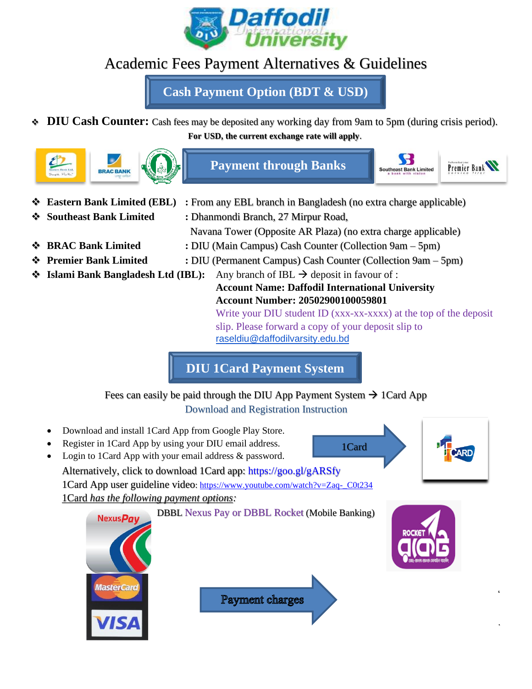

# Academic Fees Payment Alternatives & Guidelines

**Cash Payment Option (BDT & USD)**

❖ **DIU Cash Counter:** Cash fees may be deposited any working day from 9am to 5pm (during crisis period). **For USD, the current exchange rate will apply**.



- 
- 
- 
- 
- 
- **Eastern Bank Limited (EBL)** : From any EBL branch in Bangladesh (no extra charge applicable) ❖ **Southeast Bank Limited :** Dhanmondi Branch, 27 Mirpur Road, Navana Tower (Opposite AR Plaza) (no extra charge applicable) ❖ **BRAC Bank Limited :** DIU (Main Campus) Cash Counter (Collection 9am – 5pm) ❖ **Premier Bank Limited :** DIU (Permanent Campus) Cash Counter (Collection 9am – 5pm)
- ❖ **Islami Bank Bangladesh Ltd (IBL):** Any branch of IBL → deposit in favour of : **Account Name: Daffodil International University**

**Account Number: 20502900100059801** Write your DIU student ID (xxx-xx-xxxx) at the top of the deposit slip. Please forward a copy of your deposit slip to [raseldiu@daffodilvarsity.edu.bd](mailto:raseldiu@daffodilvarsity.edu.bd)

1Card

'

.

**DIU 1Card Payment System**

Fees can easily be paid through the DIU App Payment System  $\rightarrow$  1 Card App Download and Registration Instruction

- Download and install 1Card App from Google Play Store.
- Register in 1Card App by using your DIU email address.
- Login to 1Card App with your email address & password.

Alternatively, click to download 1Card app: https://goo.gl/gARSfy 1Card App user guideline video: [https://www.youtube.com/watch?v=Zaq-\\_C0t234](https://www.youtube.com/watch?v=Zaq-_C0t234) 1Card *has the following payment options:*